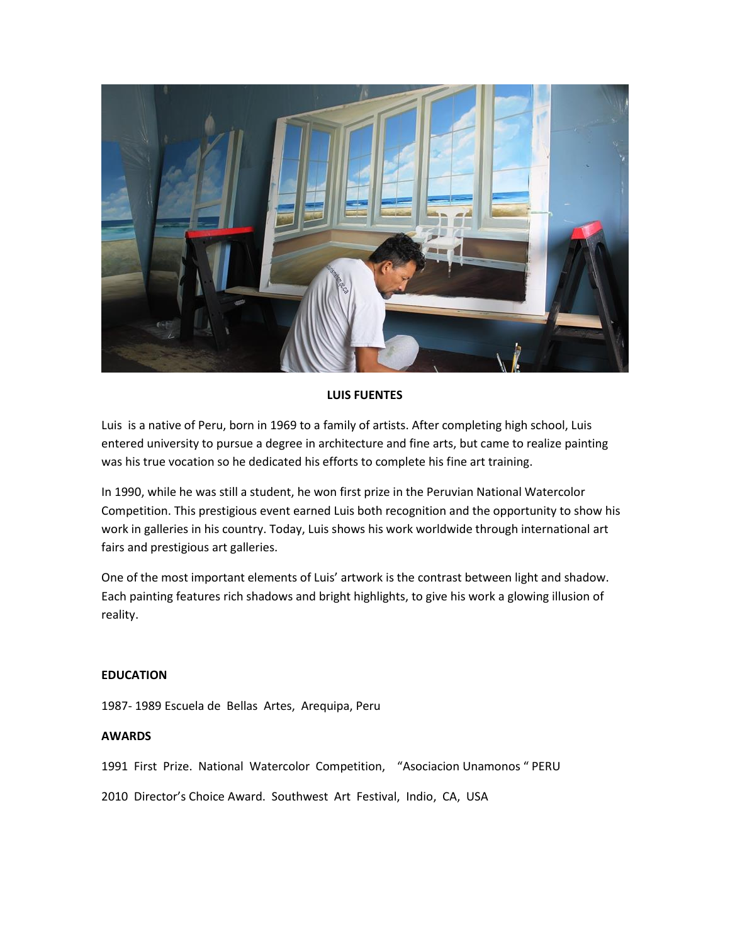

# **LUIS FUENTES**

Luis is a native of Peru, born in 1969 to a family of artists. After completing high school, Luis entered university to pursue a degree in architecture and fine arts, but came to realize painting was his true vocation so he dedicated his efforts to complete his fine art training.

In 1990, while he was still a student, he won first prize in the Peruvian National Watercolor Competition. This prestigious event earned Luis both recognition and the opportunity to show his work in galleries in his country. Today, Luis shows his work worldwide through international art fairs and prestigious art galleries.

One of the most important elements of Luis' artwork is the contrast between light and shadow. Each painting features rich shadows and bright highlights, to give his work a glowing illusion of reality.

## **EDUCATION**

1987- 1989 Escuela de Bellas Artes, Arequipa, Peru

### **AWARDS**

1991 First Prize. National Watercolor Competition, "Asociacion Unamonos " PERU

2010 Director's Choice Award. Southwest Art Festival, Indio, CA, USA